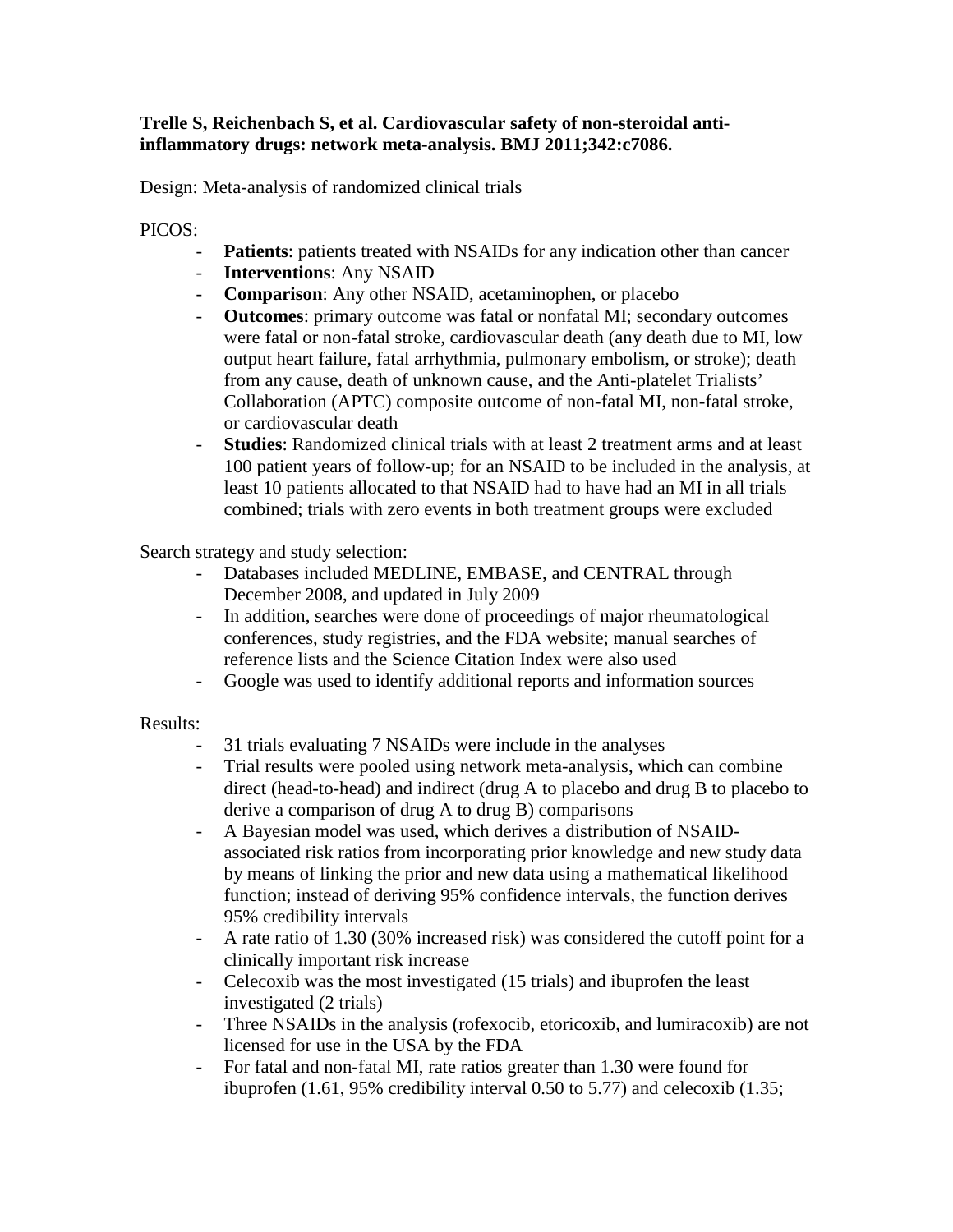## **Trelle S, Reichenbach S, et al. Cardiovascular safety of non-steroidal antiinflammatory drugs: network meta-analysis. BMJ 2011;342:c7086.**

Design: Meta-analysis of randomized clinical trials

## PICOS:

- **Patients**: patients treated with NSAIDs for any indication other than cancer
- **Interventions**: Any NSAID
- **Comparison**: Any other NSAID, acetaminophen, or placebo
- **Outcomes**: primary outcome was fatal or nonfatal MI; secondary outcomes were fatal or non-fatal stroke, cardiovascular death (any death due to MI, low output heart failure, fatal arrhythmia, pulmonary embolism, or stroke); death from any cause, death of unknown cause, and the Anti-platelet Trialists' Collaboration (APTC) composite outcome of non-fatal MI, non-fatal stroke, or cardiovascular death
- **Studies**: Randomized clinical trials with at least 2 treatment arms and at least 100 patient years of follow-up; for an NSAID to be included in the analysis, at least 10 patients allocated to that NSAID had to have had an MI in all trials combined; trials with zero events in both treatment groups were excluded

Search strategy and study selection:

- Databases included MEDLINE, EMBASE, and CENTRAL through December 2008, and updated in July 2009
- In addition, searches were done of proceedings of major rheumatological conferences, study registries, and the FDA website; manual searches of reference lists and the Science Citation Index were also used
- Google was used to identify additional reports and information sources

## Results:

- 31 trials evaluating 7 NSAIDs were include in the analyses
- Trial results were pooled using network meta-analysis, which can combine direct (head-to-head) and indirect (drug A to placebo and drug B to placebo to derive a comparison of drug A to drug B) comparisons
- A Bayesian model was used, which derives a distribution of NSAIDassociated risk ratios from incorporating prior knowledge and new study data by means of linking the prior and new data using a mathematical likelihood function; instead of deriving 95% confidence intervals, the function derives 95% credibility intervals
- A rate ratio of 1.30 (30% increased risk) was considered the cutoff point for a clinically important risk increase
- Celecoxib was the most investigated (15 trials) and ibuprofen the least investigated (2 trials)
- Three NSAIDs in the analysis (rofexocib, etoricoxib, and lumiracoxib) are not licensed for use in the USA by the FDA
- For fatal and non-fatal MI, rate ratios greater than 1.30 were found for ibuprofen (1.61, 95% credibility interval 0.50 to 5.77) and celecoxib (1.35;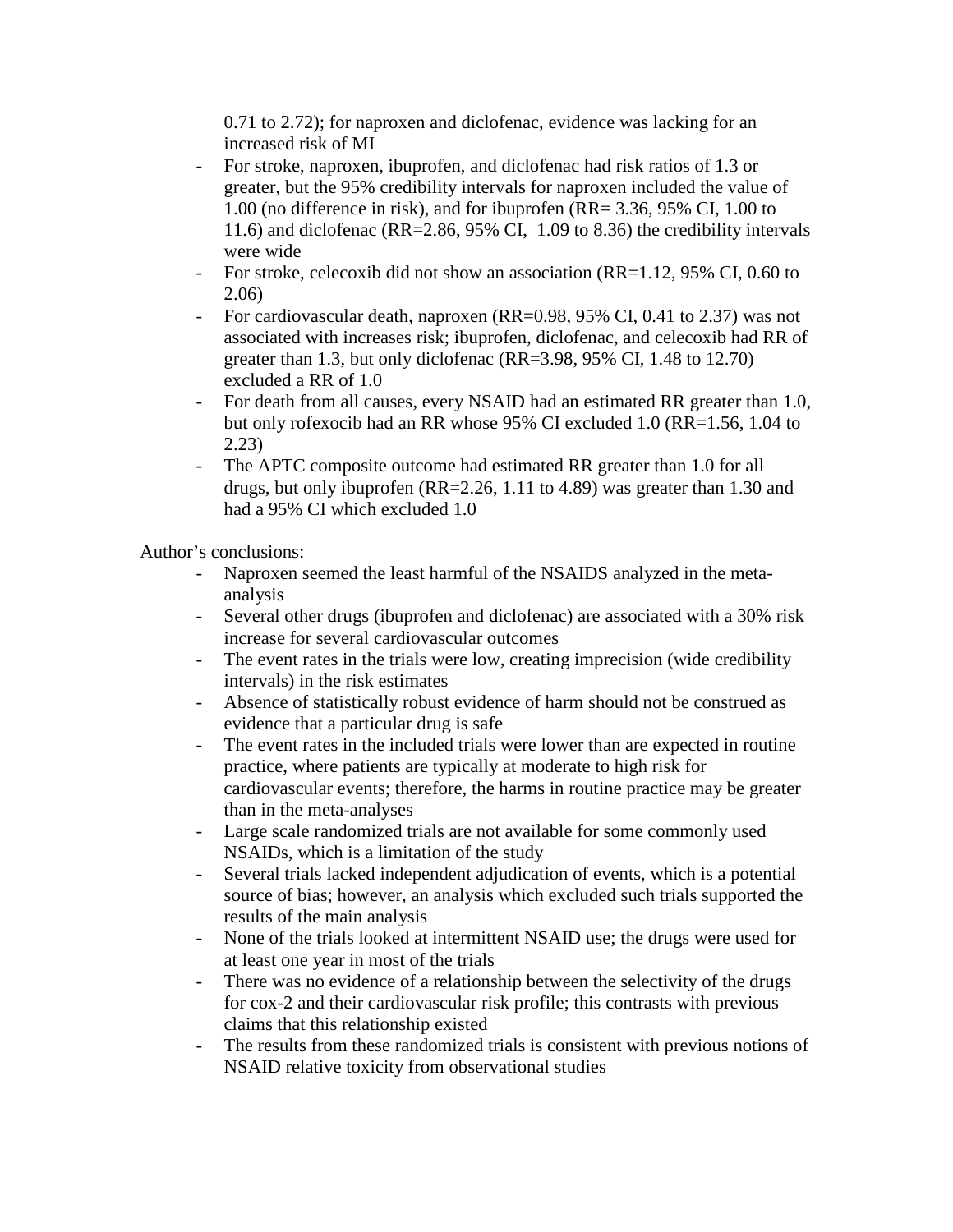0.71 to 2.72); for naproxen and diclofenac, evidence was lacking for an increased risk of MI

- For stroke, naproxen, ibuprofen, and diclofenac had risk ratios of 1.3 or greater, but the 95% credibility intervals for naproxen included the value of 1.00 (no difference in risk), and for ibuprofen (RR= 3.36, 95% CI, 1.00 to 11.6) and diclofenac (RR=2.86, 95% CI, 1.09 to 8.36) the credibility intervals were wide
- For stroke, celecoxib did not show an association (RR=1.12, 95% CI, 0.60 to 2.06)
- For cardiovascular death, naproxen (RR=0.98, 95% CI, 0.41 to 2.37) was not associated with increases risk; ibuprofen, diclofenac, and celecoxib had RR of greater than 1.3, but only diclofenac (RR=3.98, 95% CI, 1.48 to 12.70) excluded a RR of 1.0
- For death from all causes, every NSAID had an estimated RR greater than 1.0, but only rofexocib had an RR whose 95% CI excluded 1.0 (RR=1.56, 1.04 to 2.23)
- The APTC composite outcome had estimated RR greater than 1.0 for all drugs, but only ibuprofen (RR=2.26, 1.11 to 4.89) was greater than 1.30 and had a 95% CI which excluded 1.0

Author's conclusions:

- Naproxen seemed the least harmful of the NSAIDS analyzed in the metaanalysis
- Several other drugs (ibuprofen and diclofenac) are associated with a 30% risk increase for several cardiovascular outcomes
- The event rates in the trials were low, creating imprecision (wide credibility intervals) in the risk estimates
- Absence of statistically robust evidence of harm should not be construed as evidence that a particular drug is safe
- The event rates in the included trials were lower than are expected in routine practice, where patients are typically at moderate to high risk for cardiovascular events; therefore, the harms in routine practice may be greater than in the meta-analyses
- Large scale randomized trials are not available for some commonly used NSAIDs, which is a limitation of the study
- Several trials lacked independent adjudication of events, which is a potential source of bias; however, an analysis which excluded such trials supported the results of the main analysis
- None of the trials looked at intermittent NSAID use; the drugs were used for at least one year in most of the trials
- There was no evidence of a relationship between the selectivity of the drugs for cox-2 and their cardiovascular risk profile; this contrasts with previous claims that this relationship existed
- The results from these randomized trials is consistent with previous notions of NSAID relative toxicity from observational studies